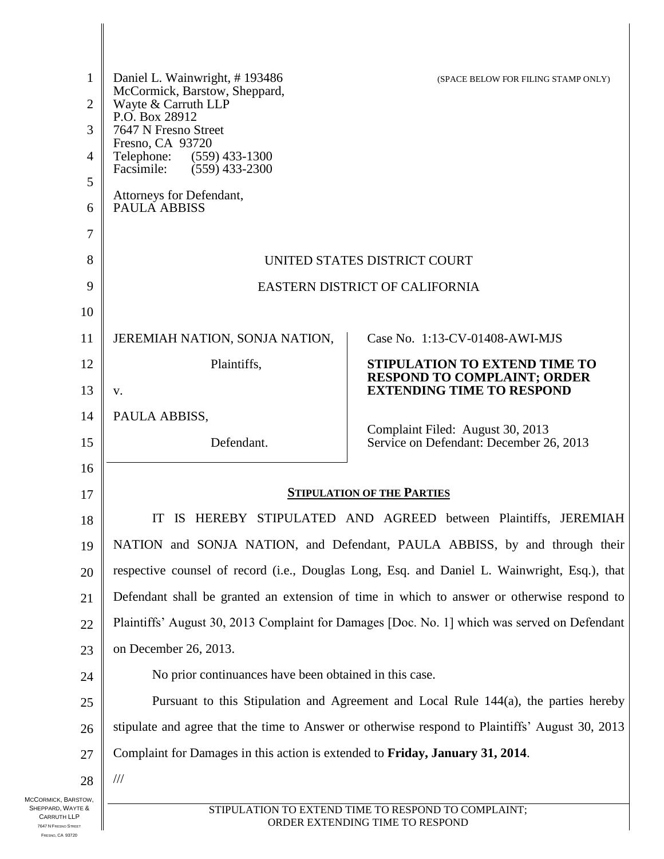| 1<br>$\overline{2}$                        | Daniel L. Wainwright, #193486<br>McCormick, Barstow, Sheppard,<br>Wayte & Carruth LLP           | (SPACE BELOW FOR FILING STAMP ONLY)                                         |
|--------------------------------------------|-------------------------------------------------------------------------------------------------|-----------------------------------------------------------------------------|
| 3                                          | P.O. Box 28912<br>7647 N Fresno Street                                                          |                                                                             |
| $\overline{4}$                             | Fresno, CA 93720<br>Telephone:<br>$(559)$ 433-1300                                              |                                                                             |
| 5                                          | Facsimile:<br>$(559)$ 433-2300                                                                  |                                                                             |
| 6                                          | Attorneys for Defendant,<br><b>PAULA ABBISS</b>                                                 |                                                                             |
| 7                                          |                                                                                                 |                                                                             |
| 8                                          | UNITED STATES DISTRICT COURT                                                                    |                                                                             |
| 9                                          | EASTERN DISTRICT OF CALIFORNIA                                                                  |                                                                             |
| 10                                         |                                                                                                 |                                                                             |
| 11                                         |                                                                                                 | Case No. 1:13-CV-01408-AWI-MJS                                              |
| 12                                         | JEREMIAH NATION, SONJA NATION,                                                                  | STIPULATION TO EXTEND TIME TO                                               |
| 13                                         | Plaintiffs,<br>V.                                                                               | <b>RESPOND TO COMPLAINT; ORDER</b><br><b>EXTENDING TIME TO RESPOND</b>      |
| 14                                         | PAULA ABBISS,                                                                                   |                                                                             |
| 15                                         | Defendant.                                                                                      | Complaint Filed: August 30, 2013<br>Service on Defendant: December 26, 2013 |
| 16                                         |                                                                                                 |                                                                             |
| 17                                         | <b>STIPULATION OF THE PARTIES</b>                                                               |                                                                             |
| 18                                         | IS HEREBY STIPULATED AND AGREED between Plaintiffs, JEREMIAH<br>IT                              |                                                                             |
| 19                                         | NATION and SONJA NATION, and Defendant, PAULA ABBISS, by and through their                      |                                                                             |
| 20                                         | respective counsel of record (i.e., Douglas Long, Esq. and Daniel L. Wainwright, Esq.), that    |                                                                             |
| 21                                         | Defendant shall be granted an extension of time in which to answer or otherwise respond to      |                                                                             |
| 22                                         | Plaintiffs' August 30, 2013 Complaint for Damages [Doc. No. 1] which was served on Defendant    |                                                                             |
| 23                                         | on December 26, 2013.                                                                           |                                                                             |
| 24                                         | No prior continuances have been obtained in this case.                                          |                                                                             |
| 25                                         | Pursuant to this Stipulation and Agreement and Local Rule 144(a), the parties hereby            |                                                                             |
| 26                                         | stipulate and agree that the time to Answer or otherwise respond to Plaintiffs' August 30, 2013 |                                                                             |
| 27                                         | Complaint for Damages in this action is extended to Friday, January 31, 2014.                   |                                                                             |
| 28                                         | $/\!/ \!/$                                                                                      |                                                                             |
| MCCORMICK, BARSTOW,<br>SHEPPARD, WAYTE &   | STIPULATION TO EXTEND TIME TO RESPOND TO COMPLAINT;                                             |                                                                             |
| <b>CARRUTH LLP</b><br>7647 N FRESNO STREET | ORDER EXTENDING TIME TO RESPOND                                                                 |                                                                             |

SHEPPARD, WAYTE & CARRUTH LLP 7647 N FRESNO STREET FRESNO, CA 93720